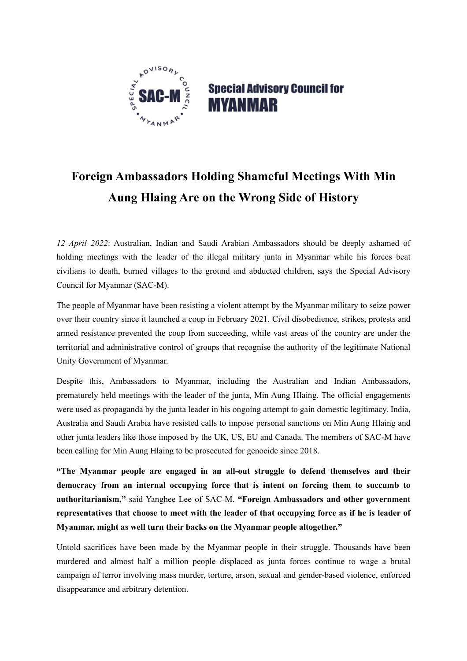

## **Special Advisory Council for MYANMAR**

## **Foreign Ambassadors Holding Shameful Meetings With Min Aung Hlaing Are on the Wrong Side of History**

*12 April 2022*: Australian, Indian and Saudi Arabian Ambassadors should be deeply ashamed of holding meetings with the leader of the illegal military junta in Myanmar while his forces beat civilians to death, burned villages to the ground and abducted children, says the Special Advisory Council for Myanmar (SAC-M).

The people of Myanmar have been resisting a violent attempt by the Myanmar military to seize power over their country since it launched a coup in February 2021. Civil disobedience, strikes, protests and armed resistance prevented the coup from succeeding, while vast areas of the country are under the territorial and administrative control of groups that recognise the authority of the legitimate National Unity Government of Myanmar.

Despite this, Ambassadors to Myanmar, including the Australian and Indian Ambassadors, prematurely held meetings with the leader of the junta, Min Aung Hlaing. The official engagements were used as propaganda by the junta leader in his ongoing attempt to gain domestic legitimacy. India, Australia and Saudi Arabia have resisted calls to impose personal sanctions on Min Aung Hlaing and other junta leaders like those imposed by the UK, US, EU and Canada. The members of SAC-M have been calling for Min Aung Hlaing to be prosecuted for genocide since 2018.

**"The Myanmar people are engaged in an all-out struggle to defend themselves and their democracy from an internal occupying force that is intent on forcing them to succumb to authoritarianism,"** said Yanghee Lee of SAC-M. **"Foreign Ambassadors and other government representatives that choose to meet with the leader of that occupying force as if he is leader of Myanmar, might as well turn their backs on the Myanmar people altogether."**

Untold sacrifices have been made by the Myanmar people in their struggle. Thousands have been murdered and almost half a million people displaced as junta forces continue to wage a brutal campaign of terror involving mass murder, torture, arson, sexual and gender-based violence, enforced disappearance and arbitrary detention.